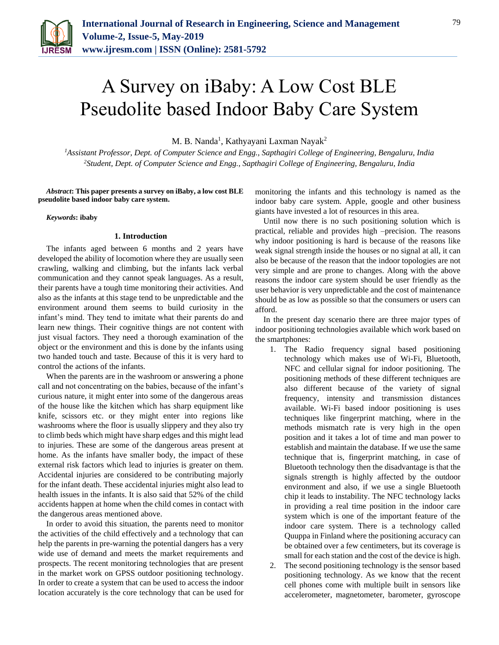

# A Survey on iBaby: A Low Cost BLE Pseudolite based Indoor Baby Care System

M. B. Nanda<sup>1</sup>, Kathyayani Laxman Nayak<sup>2</sup>

*<sup>1</sup>Assistant Professor, Dept. of Computer Science and Engg., Sapthagiri College of Engineering, Bengaluru, India 2Student, Dept. of Computer Science and Engg., Sapthagiri College of Engineering, Bengaluru, India*

*Abstract***: This paper presents a survey on iBaby, a low cost BLE pseudolite based indoor baby care system.**

*Keywords***: ibaby**

## **1. Introduction**

The infants aged between 6 months and 2 years have developed the ability of locomotion where they are usually seen crawling, walking and climbing, but the infants lack verbal communication and they cannot speak languages. As a result, their parents have a tough time monitoring their activities. And also as the infants at this stage tend to be unpredictable and the environment around them seems to build curiosity in the infant's mind. They tend to imitate what their parents do and learn new things. Their cognitive things are not content with just visual factors. They need a thorough examination of the object or the environment and this is done by the infants using two handed touch and taste. Because of this it is very hard to control the actions of the infants.

When the parents are in the washroom or answering a phone call and not concentrating on the babies, because of the infant's curious nature, it might enter into some of the dangerous areas of the house like the kitchen which has sharp equipment like knife, scissors etc. or they might enter into regions like washrooms where the floor is usually slippery and they also try to climb beds which might have sharp edges and this might lead to injuries. These are some of the dangerous areas present at home. As the infants have smaller body, the impact of these external risk factors which lead to injuries is greater on them. Accidental injuries are considered to be contributing majorly for the infant death. These accidental injuries might also lead to health issues in the infants. It is also said that 52% of the child accidents happen at home when the child comes in contact with the dangerous areas mentioned above.

In order to avoid this situation, the parents need to monitor the activities of the child effectively and a technology that can help the parents in pre-warning the potential dangers has a very wide use of demand and meets the market requirements and prospects. The recent monitoring technologies that are present in the market work on GPSS outdoor positioning technology. In order to create a system that can be used to access the indoor location accurately is the core technology that can be used for monitoring the infants and this technology is named as the indoor baby care system. Apple, google and other business giants have invested a lot of resources in this area.

Until now there is no such positioning solution which is practical, reliable and provides high –precision. The reasons why indoor positioning is hard is because of the reasons like weak signal strength inside the houses or no signal at all, it can also be because of the reason that the indoor topologies are not very simple and are prone to changes. Along with the above reasons the indoor care system should be user friendly as the user behavior is very unpredictable and the cost of maintenance should be as low as possible so that the consumers or users can afford.

In the present day scenario there are three major types of indoor positioning technologies available which work based on the smartphones:

- 1. The Radio frequency signal based positioning technology which makes use of Wi-Fi, Bluetooth, NFC and cellular signal for indoor positioning. The positioning methods of these different techniques are also different because of the variety of signal frequency, intensity and transmission distances available. Wi-Fi based indoor positioning is uses techniques like fingerprint matching, where in the methods mismatch rate is very high in the open position and it takes a lot of time and man power to establish and maintain the database. If we use the same technique that is, fingerprint matching, in case of Bluetooth technology then the disadvantage is that the signals strength is highly affected by the outdoor environment and also, if we use a single Bluetooth chip it leads to instability. The NFC technology lacks in providing a real time position in the indoor care system which is one of the important feature of the indoor care system. There is a technology called Quuppa in Finland where the positioning accuracy can be obtained over a few centimeters, but its coverage is small for each station and the cost of the device is high.
- 2. The second positioning technology is the sensor based positioning technology. As we know that the recent cell phones come with multiple built in sensors like accelerometer, magnetometer, barometer, gyroscope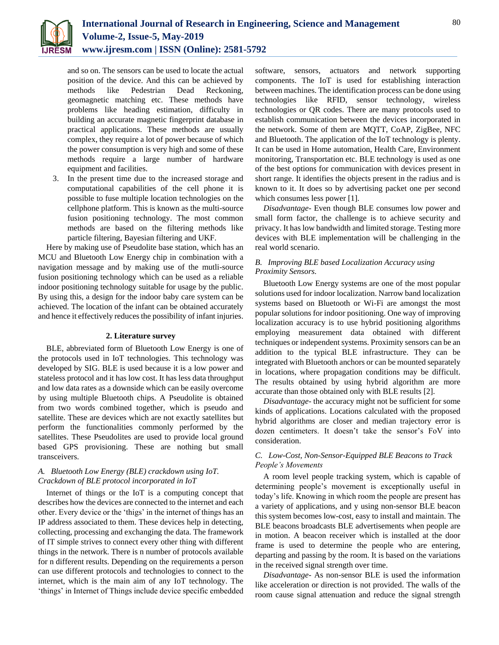

and so on. The sensors can be used to locate the actual position of the device. And this can be achieved by methods like Pedestrian Dead Reckoning, geomagnetic matching etc. These methods have problems like heading estimation, difficulty in building an accurate magnetic fingerprint database in practical applications. These methods are usually complex, they require a lot of power because of which the power consumption is very high and some of these methods require a large number of hardware equipment and facilities.

3. In the present time due to the increased storage and computational capabilities of the cell phone it is possible to fuse multiple location technologies on the cellphone platform. This is known as the multi-source fusion positioning technology. The most common methods are based on the filtering methods like particle filtering, Bayesian filtering and UKF.

Here by making use of Pseudolite base station, which has an MCU and Bluetooth Low Energy chip in combination with a navigation message and by making use of the mutli-source fusion positioning technology which can be used as a reliable indoor positioning technology suitable for usage by the public. By using this, a design for the indoor baby care system can be achieved. The location of the infant can be obtained accurately and hence it effectively reduces the possibility of infant injuries.

#### **2. Literature survey**

BLE, abbreviated form of Bluetooth Low Energy is one of the protocols used in IoT technologies. This technology was developed by SIG. BLE is used because it is a low power and stateless protocol and it has low cost. It has less data throughput and low data rates as a downside which can be easily overcome by using multiple Bluetooth chips. A Pseudolite is obtained from two words combined together, which is pseudo and satellite. These are devices which are not exactly satellites but perform the functionalities commonly performed by the satellites. These Pseudolites are used to provide local ground based GPS provisioning. These are nothing but small transceivers.

# *A. Bluetooth Low Energy (BLE) crackdown using IoT. Crackdown of BLE protocol incorporated in IoT*

Internet of things or the IoT is a computing concept that describes how the devices are connected to the internet and each other. Every device or the 'thigs' in the internet of things has an IP address associated to them. These devices help in detecting, collecting, processing and exchanging the data. The framework of IT simple strives to connect every other thing with different things in the network. There is n number of protocols available for n different results. Depending on the requirements a person can use different protocols and technologies to connect to the internet, which is the main aim of any IoT technology. The 'things' in Internet of Things include device specific embedded

software, sensors, actuators and network supporting components. The IoT is used for establishing interaction between machines. The identification process can be done using technologies like RFID, sensor technology, wireless technologies or QR codes. There are many protocols used to establish communication between the devices incorporated in the network. Some of them are MQTT, CoAP, ZigBee, NFC and Bluetooth. The application of the IoT technology is plenty. It can be used in Home automation, Health Care, Environment monitoring, Transportation etc. BLE technology is used as one of the best options for communication with devices present in short range. It identifies the objects present in the radius and is known to it. It does so by advertising packet one per second which consumes less power [1].

*Disadvantage-* Even though BLE consumes low power and small form factor, the challenge is to achieve security and privacy. It has low bandwidth and limited storage. Testing more devices with BLE implementation will be challenging in the real world scenario.

## *B. Improving BLE based Localization Accuracy using Proximity Sensors.*

Bluetooth Low Energy systems are one of the most popular solutions used for indoor localization. Narrow band localization systems based on Bluetooth or Wi-Fi are amongst the most popular solutions for indoor positioning. One way of improving localization accuracy is to use hybrid positioning algorithms employing measurement data obtained with different techniques or independent systems. Proximity sensors can be an addition to the typical BLE infrastructure. They can be integrated with Bluetooth anchors or can be mounted separately in locations, where propagation conditions may be difficult. The results obtained by using hybrid algorithm are more accurate than those obtained only with BLE results [2].

*Disadvantage-* the accuracy might not be sufficient for some kinds of applications. Locations calculated with the proposed hybrid algorithms are closer and median trajectory error is dozen centimeters. It doesn't take the sensor's FoV into consideration.

# *C. Low-Cost, Non-Sensor-Equipped BLE Beacons to Track People's Movements*

A room level people tracking system, which is capable of determining people's movement is exceptionally useful in today's life. Knowing in which room the people are present has a variety of applications, and y using non-sensor BLE beacon this system becomes low-cost, easy to install and maintain. The BLE beacons broadcasts BLE advertisements when people are in motion. A beacon receiver which is installed at the door frame is used to determine the people who are entering, departing and passing by the room. It is based on the variations in the received signal strength over time.

*Disadvantage-* As non-sensor BLE is used the information like acceleration or direction is not provided. The walls of the room cause signal attenuation and reduce the signal strength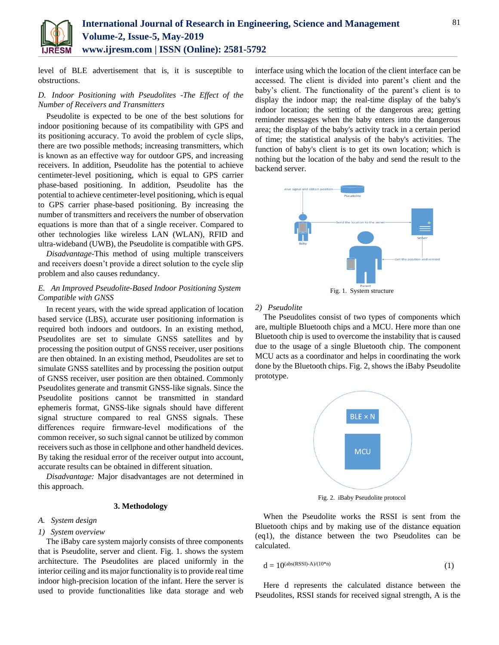

level of BLE advertisement that is, it is susceptible to obstructions.

## *D. Indoor Positioning with Pseudolites -The Effect of the Number of Receivers and Transmitters*

Pseudolite is expected to be one of the best solutions for indoor positioning because of its compatibility with GPS and its positioning accuracy. To avoid the problem of cycle slips, there are two possible methods; increasing transmitters, which is known as an effective way for outdoor GPS, and increasing receivers. In addition, Pseudolite has the potential to achieve centimeter-level positioning, which is equal to GPS carrier phase-based positioning. In addition, Pseudolite has the potential to achieve centimeter-level positioning, which is equal to GPS carrier phase-based positioning. By increasing the number of transmitters and receivers the number of observation equations is more than that of a single receiver. Compared to other technologies like wireless LAN (WLAN), RFID and ultra-wideband (UWB), the Pseudolite is compatible with GPS.

*Disadvantage-*This method of using multiple transceivers and receivers doesn't provide a direct solution to the cycle slip problem and also causes redundancy.

# *E. An Improved Pseudolite-Based Indoor Positioning System Compatible with GNSS*

In recent years, with the wide spread application of location based service (LBS), accurate user positioning information is required both indoors and outdoors. In an existing method, Pseudolites are set to simulate GNSS satellites and by processing the position output of GNSS receiver, user positions are then obtained. In an existing method, Pseudolites are set to simulate GNSS satellites and by processing the position output of GNSS receiver, user position are then obtained. Commonly Pseudolites generate and transmit GNSS-like signals. Since the Pseudolite positions cannot be transmitted in standard ephemeris format, GNSS-like signals should have different signal structure compared to real GNSS signals. These differences require firmware-level modifications of the common receiver, so such signal cannot be utilized by common receivers such as those in cellphone and other handheld devices. By taking the residual error of the receiver output into account, accurate results can be obtained in different situation.

*Disadvantage:* Major disadvantages are not determined in this approach.

#### **3. Methodology**

#### *A. System design*

#### *1) System overview*

The iBaby care system majorly consists of three components that is Pseudolite, server and client. Fig. 1. shows the system architecture. The Pseudolites are placed uniformly in the interior ceiling and its major functionality is to provide real time indoor high-precision location of the infant. Here the server is used to provide functionalities like data storage and web

interface using which the location of the client interface can be accessed. The client is divided into parent's client and the baby's client. The functionality of the parent's client is to display the indoor map; the real-time display of the baby's indoor location; the setting of the dangerous area; getting reminder messages when the baby enters into the dangerous area; the display of the baby's activity track in a certain period of time; the statistical analysis of the baby's activities. The function of baby's client is to get its own location; which is nothing but the location of the baby and send the result to the backend server.



## *2) Pseudolite*

The Pseudolites consist of two types of components which are, multiple Bluetooth chips and a MCU. Here more than one Bluetooth chip is used to overcome the instability that is caused due to the usage of a single Bluetooth chip. The component MCU acts as a coordinator and helps in coordinating the work done by the Bluetooth chips. Fig. 2, shows the iBaby Pseudolite prototype.



Fig. 2. iBaby Pseudolite protocol

When the Pseudolite works the RSSI is sent from the Bluetooth chips and by making use of the distance equation (eq1), the distance between the two Pseudolites can be calculated.

$$
d = 10^{(abs(RSSI)-A)/(10*n)} \tag{1}
$$

Here d represents the calculated distance between the Pseudolites, RSSI stands for received signal strength, A is the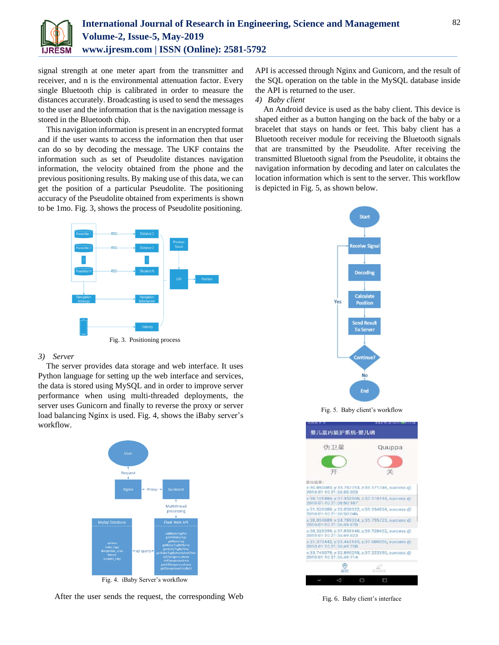

signal strength at one meter apart from the transmitter and receiver, and n is the environmental attenuation factor. Every single Bluetooth chip is calibrated in order to measure the distances accurately. Broadcasting is used to send the messages to the user and the information that is the navigation message is stored in the Bluetooth chip.

This navigation information is present in an encrypted format and if the user wants to access the information then that user can do so by decoding the message. The UKF contains the information such as set of Pseudolite distances navigation information, the velocity obtained from the phone and the previous positioning results. By making use of this data, we can get the position of a particular Pseudolite. The positioning accuracy of the Pseudolite obtained from experiments is shown to be 1mo. Fig. 3, shows the process of Pseudolite positioning.

API is accessed through Nginx and Gunicorn, and the result of the SQL operation on the table in the MySQL database inside the API is returned to the user.

# *4) Baby client*

An Android device is used as the baby client. This device is shaped either as a button hanging on the back of the baby or a bracelet that stays on hands or feet. This baby client has a Bluetooth receiver module for receiving the Bluetooth signals that are transmitted by the Pseudolite. After receiving the transmitted Bluetooth signal from the Pseudolite, it obtains the navigation information by decoding and later on calculates the location information which is sent to the server. This workflow is depicted in Fig. 5, as shown below.



Fig. 3. Positioning process

## *3) Server*

The server provides data storage and web interface. It uses Python language for setting up the web interface and services, the data is stored using MySQL and in order to improve server performance when using multi-threaded deployments, the server uses Gunicorn and finally to reverse the proxy or server load balancing Nginx is used. Fig. 4, shows the iBaby server's workflow.



Fig. 4. iBaby Server's workflow

After the user sends the request, the corresponding Web



Fig. 5. Baby client's workflow



Fig. 6. Baby client's interface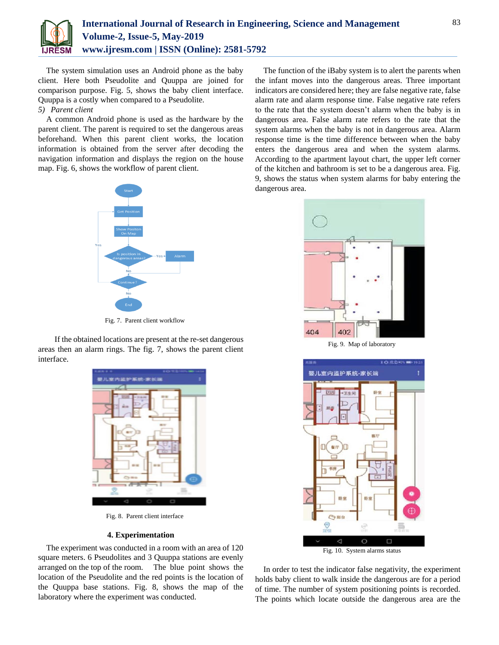

The system simulation uses an Android phone as the baby client. Here both Pseudolite and Quuppa are joined for comparison purpose. Fig. 5, shows the baby client interface. Quuppa is a costly when compared to a Pseudolite.

### *5) Parent client*

A common Android phone is used as the hardware by the parent client. The parent is required to set the dangerous areas beforehand. When this parent client works, the location information is obtained from the server after decoding the navigation information and displays the region on the house map. Fig. 6, shows the workflow of parent client.



Fig. 7. Parent client workflow

If the obtained locations are present at the re-set dangerous areas then an alarm rings. The fig. 7, shows the parent client interface.



Fig. 8. Parent client interface

## **4. Experimentation**

The experiment was conducted in a room with an area of 120 square meters. 6 Pseudolites and 3 Quuppa stations are evenly arranged on the top of the room. The blue point shows the location of the Pseudolite and the red points is the location of the Quuppa base stations. Fig. 8, shows the map of the laboratory where the experiment was conducted.

The function of the iBaby system is to alert the parents when the infant moves into the dangerous areas. Three important indicators are considered here; they are false negative rate, false alarm rate and alarm response time. False negative rate refers to the rate that the system doesn't alarm when the baby is in dangerous area. False alarm rate refers to the rate that the system alarms when the baby is not in dangerous area. Alarm response time is the time difference between when the baby enters the dangerous area and when the system alarms. According to the apartment layout chart, the upper left corner of the kitchen and bathroom is set to be a dangerous area. Fig. 9, shows the status when system alarms for baby entering the dangerous area.



Fig. 9. Map of laboratory



In order to test the indicator false negativity, the experiment holds baby client to walk inside the dangerous are for a period of time. The number of system positioning points is recorded. The points which locate outside the dangerous area are the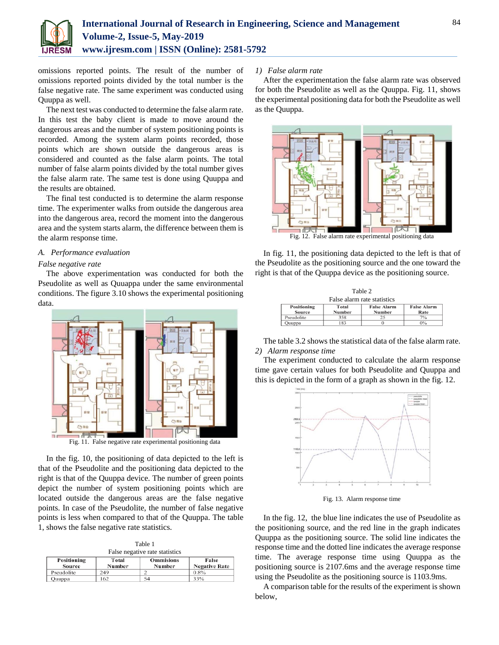

omissions reported points. The result of the number of omissions reported points divided by the total number is the false negative rate. The same experiment was conducted using Quuppa as well.

The next test was conducted to determine the false alarm rate. In this test the baby client is made to move around the dangerous areas and the number of system positioning points is recorded. Among the system alarm points recorded, those points which are shown outside the dangerous areas is considered and counted as the false alarm points. The total number of false alarm points divided by the total number gives the false alarm rate. The same test is done using Quuppa and the results are obtained.

The final test conducted is to determine the alarm response time. The experimenter walks from outside the dangerous area into the dangerous area, record the moment into the dangerous area and the system starts alarm, the difference between them is the alarm response time.

#### *A. Performance evaluation*

## *False negative rate*

Source

Pseudolite

| Quuppa

The above experimentation was conducted for both the Pseudolite as well as Quuappa under the same environmental conditions. The figure 3.10 shows the experimental positioning data.



In the fig. 10, the positioning of data depicted to the left is that of the Pseudolite and the positioning data depicted to the right is that of the Quuppa device. The number of green points depict the number of system positioning points which are located outside the dangerous areas are the false negative points. In case of the Pseudolite, the number of false negative points is less when compared to that of the Quuppa. The table 1, shows the false negative rate statistics.

Table 1 False negative rate statistics Positioning Total **Ommisions** False

54

Number

Number

249

162

**Negative Rate** 

 $0.8%$ 

 $33'$ 

# *1) False alarm rate*

After the experimentation the false alarm rate was observed for both the Pseudolite as well as the Quuppa. Fig. 11, shows the experimental positioning data for both the Pseudolite as well as the Quuppa.



In fig. 11, the positioning data depicted to the left is that of the Pseudolite as the positioning source and the one toward the right is that of the Quuppa device as the positioning source.

| Table 2                     |               |                    |                    |  |
|-----------------------------|---------------|--------------------|--------------------|--|
| False alarm rate statistics |               |                    |                    |  |
| Positioning                 | Total         | <b>False Alarm</b> | <b>False Alarm</b> |  |
| <b>Source</b>               | <b>Number</b> | Number             | Rate               |  |
| Pseudolite                  | 358           | 25                 | 7%                 |  |
| Quuppa                      | 183           | $\Omega$           | $0\%$              |  |

The table 3.2 shows the statistical data of the false alarm rate. *2) Alarm response time*

The experiment conducted to calculate the alarm response time gave certain values for both Pseudolite and Quuppa and this is depicted in the form of a graph as shown in the fig. 12.



Fig. 13. Alarm response time

In the fig. 12, the blue line indicates the use of Pseudolite as the positioning source, and the red line in the graph indicates Quuppa as the positioning source. The solid line indicates the response time and the dotted line indicates the average response time. The average response time using Quuppa as the positioning source is 2107.6ms and the average response time using the Pseudolite as the positioning source is 1103.9ms.

A comparison table for the results of the experiment is shown below,